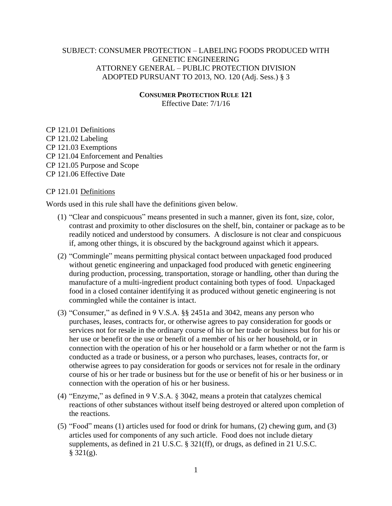## SUBJECT: CONSUMER PROTECTION – LABELING FOODS PRODUCED WITH GENETIC ENGINEERING ATTORNEY GENERAL – PUBLIC PROTECTION DIVISION ADOPTED PURSUANT TO 2013, NO. 120 (Adj. Sess.) § 3

#### **CONSUMER PROTECTION RULE 121**

Effective Date: 7/1/16

CP 121.01 Definitions CP 121.02 Labeling CP 121.03 Exemptions CP 121.04 Enforcement and Penalties CP 121.05 Purpose and Scope CP 121.06 Effective Date

## CP 121.01 Definitions

Words used in this rule shall have the definitions given below.

- (1) "Clear and conspicuous" means presented in such a manner, given its font, size, color, contrast and proximity to other disclosures on the shelf, bin, container or package as to be readily noticed and understood by consumers. A disclosure is not clear and conspicuous if, among other things, it is obscured by the background against which it appears.
- (2) "Commingle" means permitting physical contact between unpackaged food produced without genetic engineering and unpackaged food produced with genetic engineering during production, processing, transportation, storage or handling, other than during the manufacture of a multi-ingredient product containing both types of food. Unpackaged food in a closed container identifying it as produced without genetic engineering is not commingled while the container is intact.
- (3) "Consumer," as defined in 9 V.S.A. §§ 2451a and 3042, means any person who purchases, leases, contracts for, or otherwise agrees to pay consideration for goods or services not for resale in the ordinary course of his or her trade or business but for his or her use or benefit or the use or benefit of a member of his or her household, or in connection with the operation of his or her household or a farm whether or not the farm is conducted as a trade or business, or a person who purchases, leases, contracts for, or otherwise agrees to pay consideration for goods or services not for resale in the ordinary course of his or her trade or business but for the use or benefit of his or her business or in connection with the operation of his or her business.
- (4) "Enzyme," as defined in 9 V.S.A. § 3042, means a protein that catalyzes chemical reactions of other substances without itself being destroyed or altered upon completion of the reactions.
- (5) "Food" means (1) articles used for food or drink for humans, (2) chewing gum, and (3) articles used for components of any such article. Food does not include dietary supplements, as defined in 21 U.S.C. § 321(ff), or drugs, as defined in 21 U.S.C.  $§$  321(g).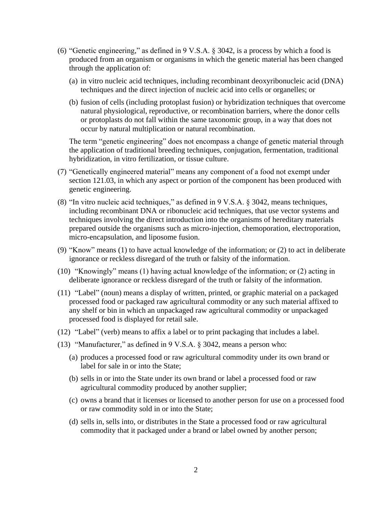- (6) "Genetic engineering," as defined in 9 V.S.A. § 3042, is a process by which a food is produced from an organism or organisms in which the genetic material has been changed through the application of:
	- (a) in vitro nucleic acid techniques, including recombinant deoxyribonucleic acid (DNA) techniques and the direct injection of nucleic acid into cells or organelles; or
	- (b) fusion of cells (including protoplast fusion) or hybridization techniques that overcome natural physiological, reproductive, or recombination barriers, where the donor cells or protoplasts do not fall within the same taxonomic group, in a way that does not occur by natural multiplication or natural recombination.

The term "genetic engineering" does not encompass a change of genetic material through the application of traditional breeding techniques, conjugation, fermentation, traditional hybridization, in vitro fertilization, or tissue culture.

- (7) "Genetically engineered material" means any component of a food not exempt under section 121.03, in which any aspect or portion of the component has been produced with genetic engineering.
- (8) "In vitro nucleic acid techniques," as defined in 9 V.S.A. § 3042, means techniques, including recombinant DNA or ribonucleic acid techniques, that use vector systems and techniques involving the direct introduction into the organisms of hereditary materials prepared outside the organisms such as micro-injection, chemoporation, electroporation, micro-encapsulation, and liposome fusion.
- (9) "Know" means (1) to have actual knowledge of the information; or (2) to act in deliberate ignorance or reckless disregard of the truth or falsity of the information.
- (10) "Knowingly" means (1) having actual knowledge of the information; or (2) acting in deliberate ignorance or reckless disregard of the truth or falsity of the information.
- (11) "Label" (noun) means a display of written, printed, or graphic material on a packaged processed food or packaged raw agricultural commodity or any such material affixed to any shelf or bin in which an unpackaged raw agricultural commodity or unpackaged processed food is displayed for retail sale.
- (12) "Label" (verb) means to affix a label or to print packaging that includes a label.
- (13) "Manufacturer," as defined in 9 V.S.A. § 3042, means a person who:
	- (a) produces a processed food or raw agricultural commodity under its own brand or label for sale in or into the State;
	- (b) sells in or into the State under its own brand or label a processed food or raw agricultural commodity produced by another supplier;
	- (c) owns a brand that it licenses or licensed to another person for use on a processed food or raw commodity sold in or into the State;
	- (d) sells in, sells into, or distributes in the State a processed food or raw agricultural commodity that it packaged under a brand or label owned by another person;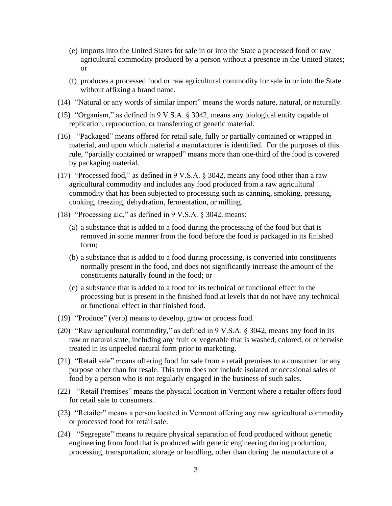- (e) imports into the United States for sale in or into the State a processed food or raw agricultural commodity produced by a person without a presence in the United States; or
- (f) produces a processed food or raw agricultural commodity for sale in or into the State without affixing a brand name.
- (14) "Natural or any words of similar import" means the words nature, natural, or naturally.
- (15) "Organism," as defined in 9 V.S.A. § 3042, means any biological entity capable of replication, reproduction, or transferring of genetic material.
- (16) "Packaged" means offered for retail sale, fully or partially contained or wrapped in material, and upon which material a manufacturer is identified. For the purposes of this rule, "partially contained or wrapped" means more than one-third of the food is covered by packaging material.
- (17) "Processed food," as defined in 9 V.S.A. § 3042, means any food other than a raw agricultural commodity and includes any food produced from a raw agricultural commodity that has been subjected to processing such as canning, smoking, pressing, cooking, freezing, dehydration, fermentation, or milling.
- (18) "Processing aid," as defined in 9 V.S.A. § 3042, means:
	- (a) a substance that is added to a food during the processing of the food but that is removed in some manner from the food before the food is packaged in its finished form;
	- (b) a substance that is added to a food during processing, is converted into constituents normally present in the food, and does not significantly increase the amount of the constituents naturally found in the food; or
	- (c) a substance that is added to a food for its technical or functional effect in the processing but is present in the finished food at levels that do not have any technical or functional effect in that finished food.
- (19) "Produce" (verb) means to develop, grow or process food.
- (20) "Raw agricultural commodity," as defined in 9 V.S.A. § 3042, means any food in its raw or natural state, including any fruit or vegetable that is washed, colored, or otherwise treated in its unpeeled natural form prior to marketing.
- (21) "Retail sale" means offering food for sale from a retail premises to a consumer for any purpose other than for resale. This term does not include isolated or occasional sales of food by a person who is not regularly engaged in the business of such sales.
- (22) "Retail Premises" means the physical location in Vermont where a retailer offers food for retail sale to consumers.
- (23) "Retailer" means a person located in Vermont offering any raw agricultural commodity or processed food for retail sale.
- (24) "Segregate" means to require physical separation of food produced without genetic engineering from food that is produced with genetic engineering during production, processing, transportation, storage or handling, other than during the manufacture of a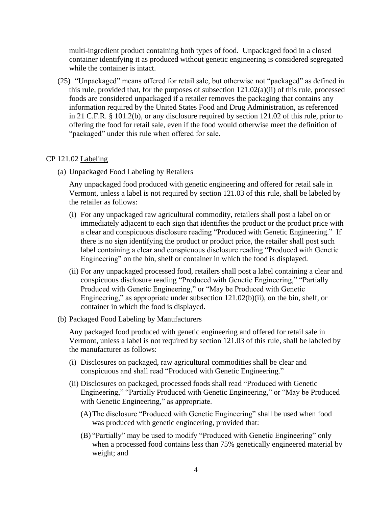multi-ingredient product containing both types of food. Unpackaged food in a closed container identifying it as produced without genetic engineering is considered segregated while the container is intact.

(25) "Unpackaged" means offered for retail sale, but otherwise not "packaged" as defined in this rule, provided that, for the purposes of subsection 121.02(a)(ii) of this rule, processed foods are considered unpackaged if a retailer removes the packaging that contains any information required by the United States Food and Drug Administration, as referenced in 21 C.F.R. § 101.2(b), or any disclosure required by section 121.02 of this rule, prior to offering the food for retail sale, even if the food would otherwise meet the definition of "packaged" under this rule when offered for sale.

#### CP 121.02 Labeling

(a) Unpackaged Food Labeling by Retailers

Any unpackaged food produced with genetic engineering and offered for retail sale in Vermont, unless a label is not required by section 121.03 of this rule, shall be labeled by the retailer as follows:

- (i) For any unpackaged raw agricultural commodity, retailers shall post a label on or immediately adjacent to each sign that identifies the product or the product price with a clear and conspicuous disclosure reading "Produced with Genetic Engineering." If there is no sign identifying the product or product price, the retailer shall post such label containing a clear and conspicuous disclosure reading "Produced with Genetic Engineering" on the bin, shelf or container in which the food is displayed.
- (ii) For any unpackaged processed food, retailers shall post a label containing a clear and conspicuous disclosure reading "Produced with Genetic Engineering," "Partially Produced with Genetic Engineering," or "May be Produced with Genetic Engineering," as appropriate under subsection 121.02(b)(ii), on the bin, shelf, or container in which the food is displayed.
- (b) Packaged Food Labeling by Manufacturers

Any packaged food produced with genetic engineering and offered for retail sale in Vermont, unless a label is not required by section 121.03 of this rule, shall be labeled by the manufacturer as follows:

- (i) Disclosures on packaged, raw agricultural commodities shall be clear and conspicuous and shall read "Produced with Genetic Engineering."
- (ii) Disclosures on packaged, processed foods shall read "Produced with Genetic Engineering," "Partially Produced with Genetic Engineering," or "May be Produced with Genetic Engineering," as appropriate.
	- (A)The disclosure "Produced with Genetic Engineering" shall be used when food was produced with genetic engineering, provided that:
	- (B) "Partially" may be used to modify "Produced with Genetic Engineering" only when a processed food contains less than 75% genetically engineered material by weight; and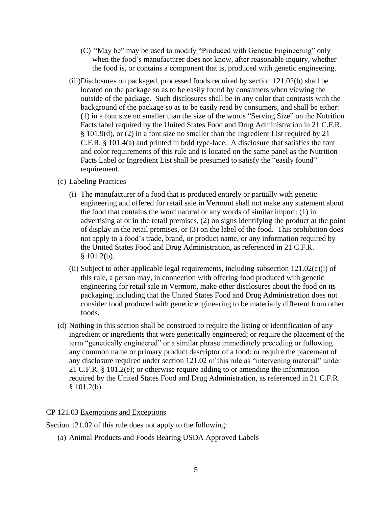- (C) "May be" may be used to modify "Produced with Genetic Engineering" only when the food's manufacturer does not know, after reasonable inquiry, whether the food is, or contains a component that is, produced with genetic engineering.
- (iii)Disclosures on packaged, processed foods required by section 121.02(b) shall be located on the package so as to be easily found by consumers when viewing the outside of the package. Such disclosures shall be in any color that contrasts with the background of the package so as to be easily read by consumers, and shall be either: (1) in a font size no smaller than the size of the words "Serving Size" on the Nutrition Facts label required by the United States Food and Drug Administration in 21 C.F.R. § 101.9(d), or (2) in a font size no smaller than the Ingredient List required by 21 C.F.R. § 101.4(a) and printed in bold type-face. A disclosure that satisfies the font and color requirements of this rule and is located on the same panel as the Nutrition Facts Label or Ingredient List shall be presumed to satisfy the "easily found" requirement.

## (c) Labeling Practices

- (i) The manufacturer of a food that is produced entirely or partially with genetic engineering and offered for retail sale in Vermont shall not make any statement about the food that contains the word natural or any words of similar import: (1) in advertising at or in the retail premises, (2) on signs identifying the product at the point of display in the retail premises, or (3) on the label of the food. This prohibition does not apply to a food's trade, brand, or product name, or any information required by the United States Food and Drug Administration, as referenced in 21 C.F.R.  $§ 101.2(b).$
- (ii) Subject to other applicable legal requirements, including subsection  $121.02(c)$ (i) of this rule, a person may, in connection with offering food produced with genetic engineering for retail sale in Vermont, make other disclosures about the food on its packaging, including that the United States Food and Drug Administration does not consider food produced with genetic engineering to be materially different from other foods.
- (d) Nothing in this section shall be construed to require the listing or identification of any ingredient or ingredients that were genetically engineered; or require the placement of the term "genetically engineered" or a similar phrase immediately preceding or following any common name or primary product descriptor of a food; or require the placement of any disclosure required under section 121.02 of this rule as "intervening material" under 21 C.F.R. § 101.2(e); or otherwise require adding to or amending the information required by the United States Food and Drug Administration, as referenced in 21 C.F.R.  $§ 101.2(b).$

## CP 121.03 Exemptions and Exceptions

Section 121.02 of this rule does not apply to the following:

(a) Animal Products and Foods Bearing USDA Approved Labels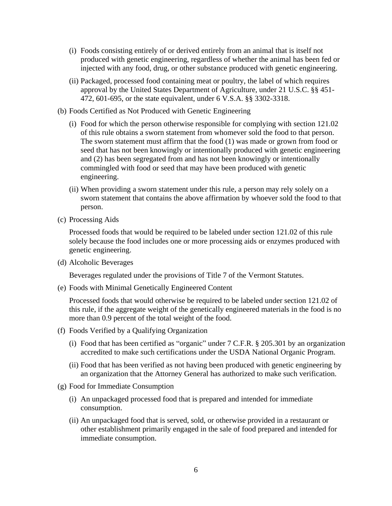- (i) Foods consisting entirely of or derived entirely from an animal that is itself not produced with genetic engineering, regardless of whether the animal has been fed or injected with any food, drug, or other substance produced with genetic engineering.
- (ii) Packaged, processed food containing meat or poultry, the label of which requires approval by the United States Department of Agriculture, under 21 U.S.C. §§ 451- 472, 601-695, or the state equivalent, under 6 V.S.A. §§ 3302-3318.
- (b) Foods Certified as Not Produced with Genetic Engineering
	- (i) Food for which the person otherwise responsible for complying with section 121.02 of this rule obtains a sworn statement from whomever sold the food to that person. The sworn statement must affirm that the food (1) was made or grown from food or seed that has not been knowingly or intentionally produced with genetic engineering and (2) has been segregated from and has not been knowingly or intentionally commingled with food or seed that may have been produced with genetic engineering.
	- (ii) When providing a sworn statement under this rule, a person may rely solely on a sworn statement that contains the above affirmation by whoever sold the food to that person.
- (c) Processing Aids

Processed foods that would be required to be labeled under section 121.02 of this rule solely because the food includes one or more processing aids or enzymes produced with genetic engineering.

(d) Alcoholic Beverages

Beverages regulated under the provisions of Title 7 of the Vermont Statutes.

(e) Foods with Minimal Genetically Engineered Content

Processed foods that would otherwise be required to be labeled under section 121.02 of this rule, if the aggregate weight of the genetically engineered materials in the food is no more than 0.9 percent of the total weight of the food.

- (f) Foods Verified by a Qualifying Organization
	- (i) Food that has been certified as "organic" under 7 C.F.R. § 205.301 by an organization accredited to make such certifications under the USDA National Organic Program.
	- (ii) Food that has been verified as not having been produced with genetic engineering by an organization that the Attorney General has authorized to make such verification.
- (g) Food for Immediate Consumption
	- (i) An unpackaged processed food that is prepared and intended for immediate consumption.
	- (ii) An unpackaged food that is served, sold, or otherwise provided in a restaurant or other establishment primarily engaged in the sale of food prepared and intended for immediate consumption.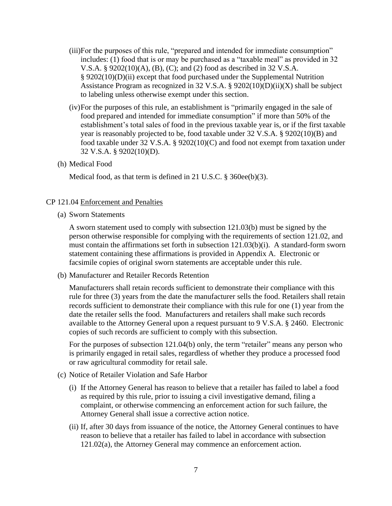- (iii)For the purposes of this rule, "prepared and intended for immediate consumption" includes: (1) food that is or may be purchased as a "taxable meal" as provided in 32 V.S.A. § 9202(10)(A), (B), (C); and (2) food as described in 32 V.S.A. § 9202(10)(D)(ii) except that food purchased under the Supplemental Nutrition Assistance Program as recognized in 32 V.S.A. §  $9202(10)(D)(ii)(X)$  shall be subject to labeling unless otherwise exempt under this section.
- (iv)For the purposes of this rule, an establishment is "primarily engaged in the sale of food prepared and intended for immediate consumption" if more than 50% of the establishment's total sales of food in the previous taxable year is, or if the first taxable year is reasonably projected to be, food taxable under 32 V.S.A. § 9202(10)(B) and food taxable under 32 V.S.A. § 9202(10)(C) and food not exempt from taxation under 32 V.S.A. § 9202(10)(D).
- (h) Medical Food

Medical food, as that term is defined in 21 U.S.C. § 360ee(b)(3).

### CP 121.04 Enforcement and Penalties

(a) Sworn Statements

A sworn statement used to comply with subsection 121.03(b) must be signed by the person otherwise responsible for complying with the requirements of section 121.02, and must contain the affirmations set forth in subsection 121.03(b)(i). A standard-form sworn statement containing these affirmations is provided in Appendix A. Electronic or facsimile copies of original sworn statements are acceptable under this rule.

(b) Manufacturer and Retailer Records Retention

Manufacturers shall retain records sufficient to demonstrate their compliance with this rule for three (3) years from the date the manufacturer sells the food. Retailers shall retain records sufficient to demonstrate their compliance with this rule for one (1) year from the date the retailer sells the food. Manufacturers and retailers shall make such records available to the Attorney General upon a request pursuant to 9 V.S.A. § 2460. Electronic copies of such records are sufficient to comply with this subsection.

For the purposes of subsection 121.04(b) only, the term "retailer" means any person who is primarily engaged in retail sales, regardless of whether they produce a processed food or raw agricultural commodity for retail sale.

- (c) Notice of Retailer Violation and Safe Harbor
	- (i) If the Attorney General has reason to believe that a retailer has failed to label a food as required by this rule, prior to issuing a civil investigative demand, filing a complaint, or otherwise commencing an enforcement action for such failure, the Attorney General shall issue a corrective action notice.
	- (ii) If, after 30 days from issuance of the notice, the Attorney General continues to have reason to believe that a retailer has failed to label in accordance with subsection 121.02(a), the Attorney General may commence an enforcement action.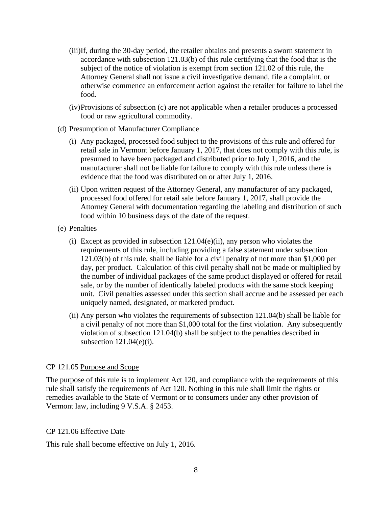- (iii)If, during the 30-day period, the retailer obtains and presents a sworn statement in accordance with subsection 121.03(b) of this rule certifying that the food that is the subject of the notice of violation is exempt from section 121.02 of this rule, the Attorney General shall not issue a civil investigative demand, file a complaint, or otherwise commence an enforcement action against the retailer for failure to label the food.
- (iv)Provisions of subsection (c) are not applicable when a retailer produces a processed food or raw agricultural commodity.
- (d) Presumption of Manufacturer Compliance
	- (i) Any packaged, processed food subject to the provisions of this rule and offered for retail sale in Vermont before January 1, 2017, that does not comply with this rule, is presumed to have been packaged and distributed prior to July 1, 2016, and the manufacturer shall not be liable for failure to comply with this rule unless there is evidence that the food was distributed on or after July 1, 2016.
	- (ii) Upon written request of the Attorney General, any manufacturer of any packaged, processed food offered for retail sale before January 1, 2017, shall provide the Attorney General with documentation regarding the labeling and distribution of such food within 10 business days of the date of the request.
- (e) Penalties
	- (i) Except as provided in subsection  $121.04(e)$ (ii), any person who violates the requirements of this rule, including providing a false statement under subsection 121.03(b) of this rule, shall be liable for a civil penalty of not more than \$1,000 per day, per product. Calculation of this civil penalty shall not be made or multiplied by the number of individual packages of the same product displayed or offered for retail sale, or by the number of identically labeled products with the same stock keeping unit. Civil penalties assessed under this section shall accrue and be assessed per each uniquely named, designated, or marketed product.
	- (ii) Any person who violates the requirements of subsection 121.04(b) shall be liable for a civil penalty of not more than \$1,000 total for the first violation. Any subsequently violation of subsection 121.04(b) shall be subject to the penalties described in subsection  $121.04(e)(i)$ .

## CP 121.05 Purpose and Scope

The purpose of this rule is to implement Act 120, and compliance with the requirements of this rule shall satisfy the requirements of Act 120. Nothing in this rule shall limit the rights or remedies available to the State of Vermont or to consumers under any other provision of Vermont law, including 9 V.S.A. § 2453.

## CP 121.06 Effective Date

This rule shall become effective on July 1, 2016.